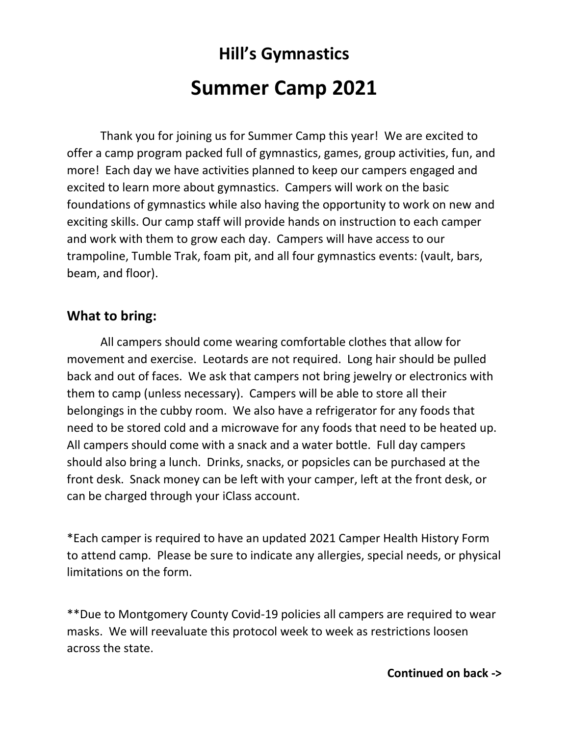# **Hill's Gymnastics Summer Camp 2021**

Thank you for joining us for Summer Camp this year! We are excited to offer a camp program packed full of gymnastics, games, group activities, fun, and more! Each day we have activities planned to keep our campers engaged and excited to learn more about gymnastics. Campers will work on the basic foundations of gymnastics while also having the opportunity to work on new and exciting skills. Our camp staff will provide hands on instruction to each camper and work with them to grow each day. Campers will have access to our trampoline, Tumble Trak, foam pit, and all four gymnastics events: (vault, bars, beam, and floor).

#### **What to bring:**

All campers should come wearing comfortable clothes that allow for movement and exercise. Leotards are not required. Long hair should be pulled back and out of faces. We ask that campers not bring jewelry or electronics with them to camp (unless necessary). Campers will be able to store all their belongings in the cubby room. We also have a refrigerator for any foods that need to be stored cold and a microwave for any foods that need to be heated up. All campers should come with a snack and a water bottle. Full day campers should also bring a lunch. Drinks, snacks, or popsicles can be purchased at the front desk. Snack money can be left with your camper, left at the front desk, or can be charged through your iClass account.

\*Each camper is required to have an updated 2021 Camper Health History Form to attend camp. Please be sure to indicate any allergies, special needs, or physical limitations on the form.

\*\*Due to Montgomery County Covid-19 policies all campers are required to wear masks. We will reevaluate this protocol week to week as restrictions loosen across the state.